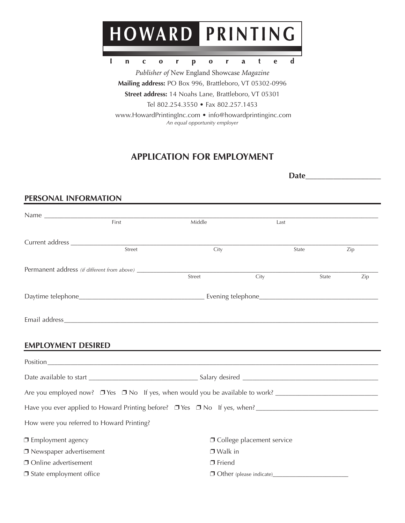

 $\mathbf{o}$ 

 $\mathbf{r}$ 

 $\mathbf{a}$ 

 $\mathbf t$ 

 $\mathbf{e}$ 

 $\mathbf d$ 

 $\mathbf{I}$ 

 $\mathbf n$ 

 $\mathbf{C}$ 

 $\bf{0}$ 

r

*Publisher of* New England Showcase *Magazine* **Mailing address:** PO Box 996, Brattleboro, VT 05302-0996 **Street address:** 14 Noahs Lane, Brattleboro, VT 05301 Tel 802.254.3550 • Fax 802.257.1453

 $\mathbf{p}$ 

 www.HowardPrintingInc.com • info@howardprintinginc.com *An equal opportunity employer*

# **APPLICATION FOR EMPLOYMENT**

| PERSONAL INFORMATION                                          |        |                                    |      |       |     |
|---------------------------------------------------------------|--------|------------------------------------|------|-------|-----|
|                                                               |        |                                    |      |       |     |
|                                                               | First  | Middle                             | Last |       |     |
|                                                               |        |                                    |      |       |     |
|                                                               | Street | City                               |      | State | Zip |
| Permanent address (if different from above) _________________ |        | Street                             | City | State | Zip |
|                                                               |        |                                    |      |       |     |
|                                                               |        |                                    |      |       |     |
| <b>EMPLOYMENT DESIRED</b>                                     |        |                                    |      |       |     |
|                                                               |        |                                    |      |       |     |
|                                                               |        |                                    |      |       |     |
|                                                               |        |                                    |      |       |     |
|                                                               |        |                                    |      |       |     |
| How were you referred to Howard Printing?                     |        |                                    |      |       |     |
| □ Employment agency                                           |        | <b>O</b> College placement service |      |       |     |
| □ Newspaper advertisement                                     |        | $\Box$ Walk in                     |      |       |     |
| Online advertisement                                          |        | $\Box$ Friend                      |      |       |     |
| □ State employment office                                     |        | $\Box$ Other (please indicate)     |      |       |     |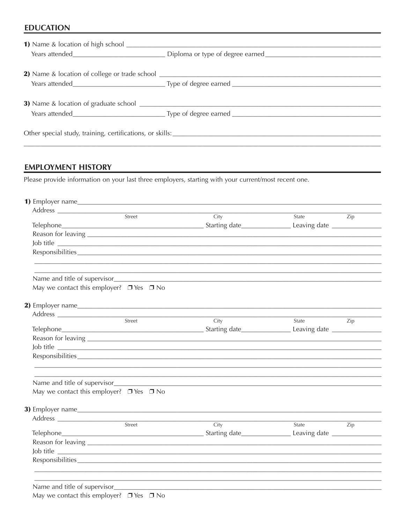#### **EDUCATION**

#### **EMPLOYMENT HISTORY**

Please provide information on your last three employers, starting with your current/most recent one.

|                                                    | Street | City      | State | Zip |  |  |
|----------------------------------------------------|--------|-----------|-------|-----|--|--|
|                                                    |        |           |       |     |  |  |
|                                                    |        |           |       |     |  |  |
|                                                    |        | Job title |       |     |  |  |
|                                                    |        |           |       |     |  |  |
|                                                    |        |           |       |     |  |  |
| May we contact this employer? $\Box$ Yes $\Box$ No |        |           |       |     |  |  |
|                                                    |        |           |       |     |  |  |
|                                                    |        |           |       |     |  |  |
|                                                    | Street | City      | State | Zip |  |  |
|                                                    |        |           |       |     |  |  |
|                                                    |        |           |       |     |  |  |
|                                                    |        | Job title |       |     |  |  |
|                                                    |        |           |       |     |  |  |
| Name and title of supervisor                       |        |           |       |     |  |  |
| May we contact this employer? $\Box$ Yes $\Box$ No |        |           |       |     |  |  |
|                                                    |        |           |       |     |  |  |
|                                                    |        |           |       |     |  |  |
|                                                    | Street | City      | State | Zip |  |  |
|                                                    |        |           |       |     |  |  |
|                                                    |        |           |       |     |  |  |
|                                                    |        | Job title |       |     |  |  |
|                                                    |        |           |       |     |  |  |
|                                                    |        |           |       |     |  |  |
|                                                    |        |           |       |     |  |  |
| Name and title of supervisor                       |        |           |       |     |  |  |